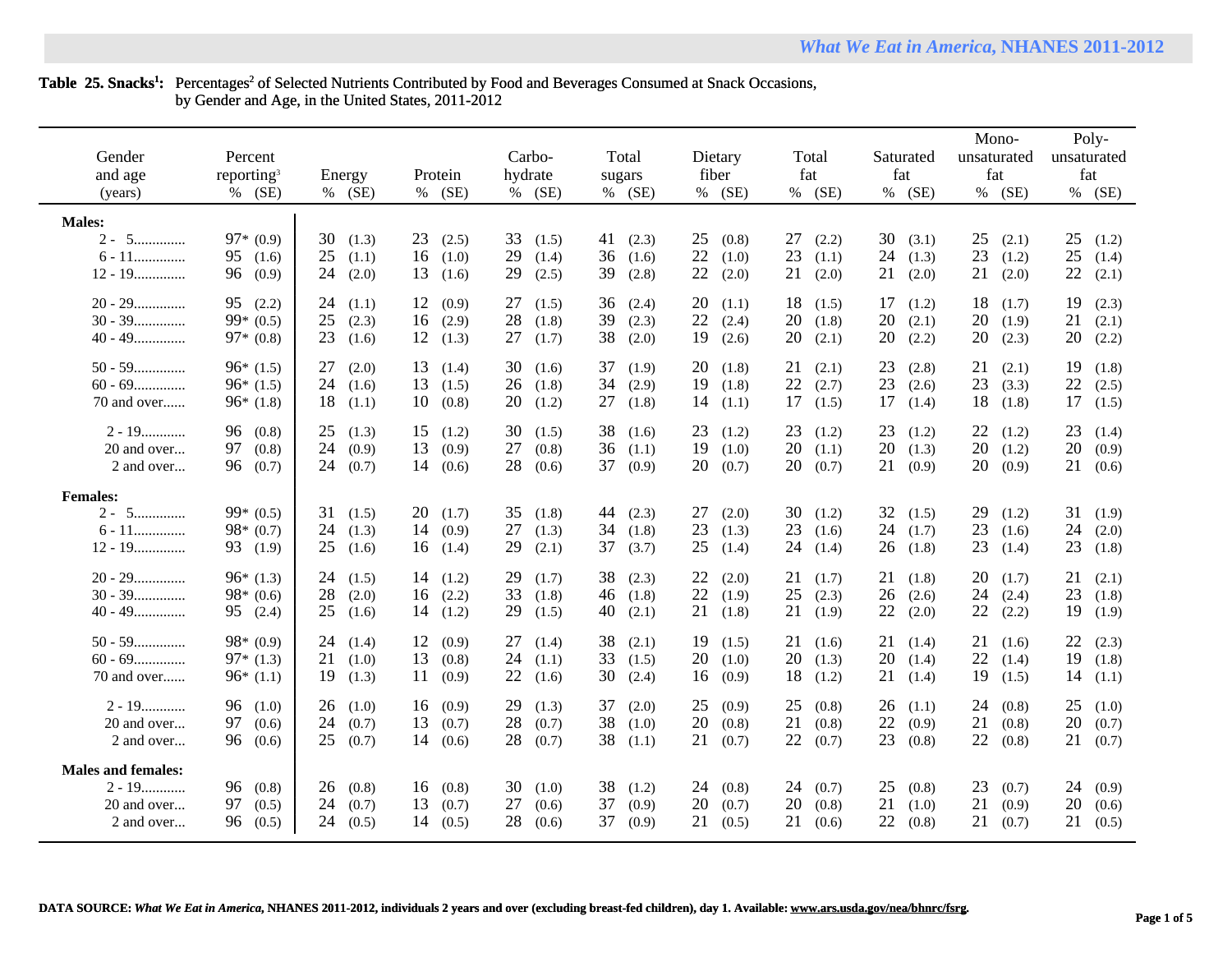# Table 25. Snacks<sup>1</sup>: Percentages<sup>2</sup> of Selected Nutrients Contributed by Food and Beverages Consumed at Snack Occasions, by Gender and Age, in the United States, 2011-2012

| Gender<br>and age<br>(years)                                       | Percent<br>reporting <sup>3</sup><br>$%$ (SE) | Energy<br>$%$ (SE)                        | Protein<br>(SE)<br>%                      | Carbo-<br>hydrate<br>% (SE)               | Total<br>sugars<br>$%$ (SE)               | Dietary<br>fiber<br>% (SE)                | Total<br>fat<br>% (SE)                    | Saturated<br>fat<br>% (SE)                | Mono-<br>unsaturated<br>fat<br>% (SE)     | Poly-<br>unsaturated<br>fat<br>$%$ (SE)   |
|--------------------------------------------------------------------|-----------------------------------------------|-------------------------------------------|-------------------------------------------|-------------------------------------------|-------------------------------------------|-------------------------------------------|-------------------------------------------|-------------------------------------------|-------------------------------------------|-------------------------------------------|
| <b>Males:</b>                                                      |                                               |                                           |                                           |                                           |                                           |                                           |                                           |                                           |                                           |                                           |
| $2 - 5$<br>$6 - 11$<br>$12 - 19$                                   | $97*(0.9)$<br>95(1.6)<br>96 (0.9)             | 30<br>(1.3)<br>25<br>(1.1)<br>24<br>(2.0) | 23<br>(2.5)<br>16<br>(1.0)<br>13<br>(1.6) | 33<br>(1.5)<br>29<br>(1.4)<br>29<br>(2.5) | 41<br>(2.3)<br>36<br>(1.6)<br>39<br>(2.8) | 25<br>(0.8)<br>22<br>(1.0)<br>22<br>(2.0) | 27<br>(2.2)<br>23<br>(1.1)<br>21<br>(2.0) | 30<br>(3.1)<br>24<br>(1.3)<br>21<br>(2.0) | 25<br>(2.1)<br>23<br>(1.2)<br>21<br>(2.0) | 25<br>(1.2)<br>25<br>(1.4)<br>22<br>(2.1) |
| $20 - 29$<br>$30 - 39$<br>$40 - 49$                                | 95(2.2)<br>$99*(0.5)$<br>$97*(0.8)$           | 24<br>(1.1)<br>25<br>(2.3)<br>23<br>(1.6) | 12<br>(0.9)<br>16<br>(2.9)<br>12<br>(1.3) | 27<br>(1.5)<br>28<br>(1.8)<br>27<br>(1.7) | 36<br>(2.4)<br>39<br>(2.3)<br>38<br>(2.0) | 20<br>(1.1)<br>22<br>(2.4)<br>19<br>(2.6) | 18<br>(1.5)<br>20<br>(1.8)<br>20<br>(2.1) | 17<br>(1.2)<br>20<br>(2.1)<br>20<br>(2.2) | 18(1.7)<br>20<br>(1.9)<br>20<br>(2.3)     | 19<br>(2.3)<br>21<br>(2.1)<br>20<br>(2.2) |
| $50 - 59$<br>$60 - 69$<br>70 and over                              | $96*(1.5)$<br>$96*(1.5)$<br>$96*(1.8)$        | 27<br>(2.0)<br>24<br>(1.6)<br>18<br>(1.1) | 13<br>(1.4)<br>13<br>(1.5)<br>10<br>(0.8) | 30<br>(1.6)<br>26<br>(1.8)<br>20<br>(1.2) | 37<br>(1.9)<br>34<br>(2.9)<br>27<br>(1.8) | 20<br>(1.8)<br>19<br>(1.8)<br>14<br>(1.1) | 21<br>(2.1)<br>22<br>(2.7)<br>17<br>(1.5) | 23<br>(2.8)<br>23<br>(2.6)<br>17<br>(1.4) | 21<br>(2.1)<br>23<br>(3.3)<br>18(1.8)     | 19<br>(1.8)<br>22<br>(2.5)<br>17<br>(1.5) |
| $2 - 19$<br>20 and over<br>2 and over                              | 96 (0.8)<br>97 (0.8)<br>96 (0.7)              | 25<br>(1.3)<br>24<br>(0.9)<br>24<br>(0.7) | 15<br>(1.2)<br>13<br>(0.9)<br>14<br>(0.6) | 30<br>(1.5)<br>27<br>(0.8)<br>28<br>(0.6) | 38<br>(1.6)<br>36(1.1)<br>37<br>(0.9)     | 23<br>(1.2)<br>19<br>(1.0)<br>20<br>(0.7) | 23<br>(1.2)<br>20<br>(1.1)<br>20<br>(0.7) | 23<br>(1.2)<br>20<br>(1.3)<br>21<br>(0.9) | 22<br>(1.2)<br>20(1.2)<br>20(0.9)         | 23<br>(1.4)<br>20<br>(0.9)<br>21<br>(0.6) |
| <b>Females:</b><br>$2 - 5$<br>$6 - 11$<br>$12 - 19$                | $99*(0.5)$<br>$98*(0.7)$<br>93 (1.9)          | 31<br>(1.5)<br>24<br>(1.3)<br>25<br>(1.6) | 20<br>(1.7)<br>14<br>(0.9)<br>16<br>(1.4) | 35<br>(1.8)<br>27<br>(1.3)<br>29<br>(2.1) | 44<br>(2.3)<br>34<br>(1.8)<br>37<br>(3.7) | 27<br>(2.0)<br>23<br>(1.3)<br>25<br>(1.4) | 30<br>(1.2)<br>23<br>(1.6)<br>24<br>(1.4) | 32<br>(1.5)<br>24<br>(1.7)<br>26<br>(1.8) | 29<br>(1.2)<br>23<br>(1.6)<br>23<br>(1.4) | 31<br>(1.9)<br>24<br>(2.0)<br>23<br>(1.8) |
| $20 - 29$<br>$30 - 39$<br>$40 - 49$                                | $96*(1.3)$<br>$98*(0.6)$<br>95 (2.4)          | 24<br>(1.5)<br>28<br>(2.0)<br>25<br>(1.6) | 14<br>(1.2)<br>16<br>(2.2)<br>14<br>(1.2) | 29<br>(1.7)<br>33<br>(1.8)<br>29<br>(1.5) | 38<br>(2.3)<br>46 $(1.8)$<br>40<br>(2.1)  | 22<br>(2.0)<br>22<br>(1.9)<br>21<br>(1.8) | 21<br>(1.7)<br>25<br>(2.3)<br>21<br>(1.9) | 21<br>(1.8)<br>26<br>(2.6)<br>22<br>(2.0) | 20<br>(1.7)<br>24<br>(2.4)<br>22<br>(2.2) | 21<br>(2.1)<br>23<br>(1.8)<br>19<br>(1.9) |
| $50 - 59$<br>$60 - 69$<br>70 and over                              | $98*(0.9)$<br>$97*(1.3)$<br>$96*(1.1)$        | 24<br>(1.4)<br>21<br>(1.0)<br>19<br>(1.3) | 12<br>(0.9)<br>13<br>(0.8)<br>11<br>(0.9) | 27<br>(1.4)<br>24<br>(1.1)<br>22<br>(1.6) | 38<br>(2.1)<br>33<br>(1.5)<br>30<br>(2.4) | 19<br>(1.5)<br>20<br>(1.0)<br>16<br>(0.9) | 21<br>(1.6)<br>20<br>(1.3)<br>18<br>(1.2) | 21<br>(1.4)<br>20<br>(1.4)<br>21<br>(1.4) | 21<br>(1.6)<br>22<br>(1.4)<br>19(1.5)     | 22(2.3)<br>19<br>(1.8)<br>14<br>(1.1)     |
| $2 - 19$<br>20 and over<br>2 and over                              | 96(1.0)<br>97 (0.6)<br>96 (0.6)               | 26<br>(1.0)<br>24<br>(0.7)<br>25<br>(0.7) | (0.9)<br>16<br>13<br>(0.7)<br>14<br>(0.6) | 29<br>(1.3)<br>28<br>(0.7)<br>28<br>(0.7) | 37<br>(2.0)<br>38<br>(1.0)<br>38<br>(1.1) | 25<br>(0.9)<br>20<br>(0.8)<br>21<br>(0.7) | 25<br>(0.8)<br>21<br>(0.8)<br>22<br>(0.7) | 26<br>(1.1)<br>22<br>(0.9)<br>23<br>(0.8) | 24<br>(0.8)<br>21<br>(0.8)<br>22<br>(0.8) | 25<br>(1.0)<br>20<br>(0.7)<br>21<br>(0.7) |
| <b>Males and females:</b><br>$2 - 19$<br>20 and over<br>2 and over | 96 (0.8)<br>97 (0.5)<br>96 (0.5)              | 26<br>(0.8)<br>24<br>(0.7)<br>24<br>(0.5) | 16<br>(0.8)<br>13<br>(0.7)<br>14<br>(0.5) | 30<br>(1.0)<br>27<br>(0.6)<br>28<br>(0.6) | 38<br>(1.2)<br>37<br>(0.9)<br>37<br>(0.9) | 24<br>(0.8)<br>20<br>(0.7)<br>21<br>(0.5) | 24<br>(0.7)<br>20<br>(0.8)<br>21<br>(0.6) | 25<br>(0.8)<br>21<br>(1.0)<br>22<br>(0.8) | 23<br>(0.7)<br>21<br>(0.9)<br>21(0.7)     | 24<br>(0.9)<br>20<br>(0.6)<br>21<br>(0.5) |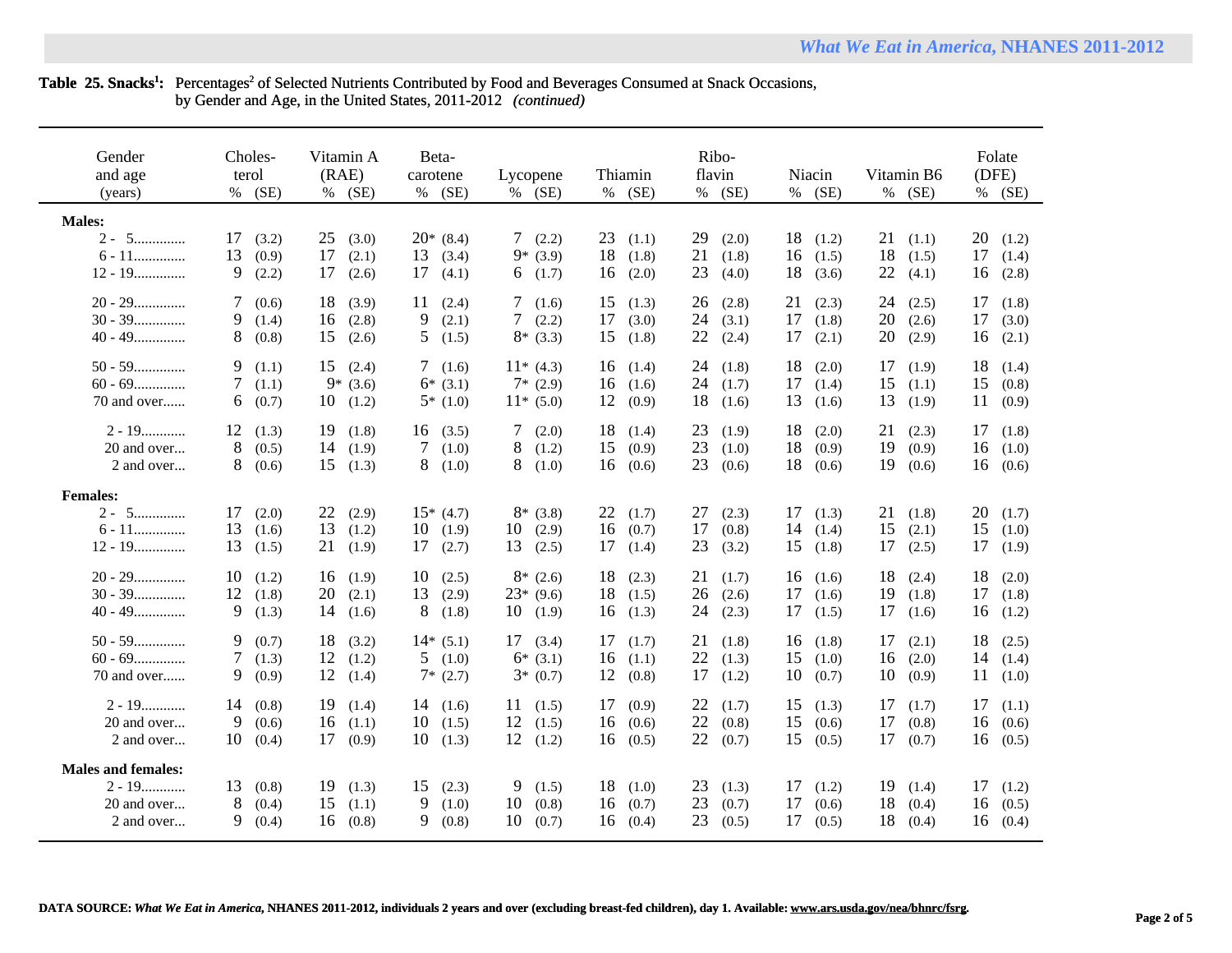## Table 25. Snacks<sup>1</sup>: Percentages<sup>2</sup> of Selected Nutrients Contributed by Food and Beverages Consumed at Snack Occasions, by Gender and Age, in the United States, 2011-2012 *(continued)*

| Gender<br>and age<br>(years)                                       | Choles-<br>terol<br>$%$ (SE)              | Vitamin A<br>(RAE)<br>(SE)<br>%           | Beta-<br>carotene<br>$%$ (SE)            | Lycopene<br>$%$ (SE)                            | Thiamin<br>$%$ (SE)                       | Ribo-<br>flavin<br>(SE)<br>$\%$           | Niacin<br>(SE)<br>%                       | Vitamin B6<br>$%$ (SE)                    | Folate<br>(DFE)<br>% (SE)                 |
|--------------------------------------------------------------------|-------------------------------------------|-------------------------------------------|------------------------------------------|-------------------------------------------------|-------------------------------------------|-------------------------------------------|-------------------------------------------|-------------------------------------------|-------------------------------------------|
| <b>Males:</b><br>$2 - 5$<br>$6 - 11$<br>$12 - 19$                  | 17<br>(3.2)<br>13<br>(0.9)<br>9<br>(2.2)  | 25<br>(3.0)<br>17<br>(2.1)<br>17<br>(2.6) | $20*(8.4)$<br>13<br>(3.4)<br>17<br>(4.1) | 7(2.2)<br>$9*(3.9)$<br>6<br>(1.7)               | 23<br>(1.1)<br>18<br>(1.8)<br>16<br>(2.0) | 29<br>(2.0)<br>21<br>(1.8)<br>23<br>(4.0) | 18<br>(1.2)<br>16<br>(1.5)<br>18<br>(3.6) | 21<br>(1.1)<br>18<br>(1.5)<br>22<br>(4.1) | 20<br>(1.2)<br>17<br>(1.4)<br>(2.8)<br>16 |
| $20 - 29$<br>$30 - 39$<br>$40 - 49$                                | 7<br>(0.6)<br>9.<br>(1.4)<br>8<br>(0.8)   | 18<br>(3.9)<br>16<br>(2.8)<br>15<br>(2.6) | (2.4)<br>11<br>9<br>(2.1)<br>5.<br>(1.5) | 7(1.6)<br>$7\overline{ }$<br>(2.2)<br>$8*(3.3)$ | 15<br>(1.3)<br>17<br>(3.0)<br>15<br>(1.8) | 26<br>(2.8)<br>24<br>(3.1)<br>22<br>(2.4) | 21<br>(2.3)<br>17<br>(1.8)<br>17<br>(2.1) | 24<br>(2.5)<br>20<br>(2.6)<br>20<br>(2.9) | 17<br>(1.8)<br>17<br>(3.0)<br>16<br>(2.1) |
| $50 - 59$<br>$60 - 69$<br>70 and over                              | 9<br>(1.1)<br>7<br>(1.1)<br>6<br>(0.7)    | 15<br>(2.4)<br>$9*(3.6)$<br>10<br>(1.2)   | 7(1.6)<br>$6*(3.1)$<br>$5*(1.0)$         | $11*(4.3)$<br>$7*(2.9)$<br>$11*(5.0)$           | 16<br>(1.4)<br>16<br>(1.6)<br>12<br>(0.9) | 24<br>(1.8)<br>24<br>(1.7)<br>18<br>(1.6) | 18<br>(2.0)<br>17<br>(1.4)<br>13<br>(1.6) | 17<br>(1.9)<br>15<br>(1.1)<br>13<br>(1.9) | 18<br>(1.4)<br>15<br>(0.8)<br>11<br>(0.9) |
| $2 - 19$<br>20 and over<br>2 and over                              | 12<br>(1.3)<br>8<br>(0.5)<br>8<br>(0.6)   | 19<br>(1.8)<br>14<br>(1.9)<br>15<br>(1.3) | 16(3.5)<br>$\tau$<br>(1.0)<br>8<br>(1.0) | (2.0)<br>7<br>8<br>(1.2)<br>8<br>(1.0)          | 18<br>(1.4)<br>15<br>(0.9)<br>16<br>(0.6) | 23<br>(1.9)<br>23<br>(1.0)<br>23<br>(0.6) | 18<br>(2.0)<br>18<br>(0.9)<br>18<br>(0.6) | 21<br>(2.3)<br>19<br>(0.9)<br>19<br>(0.6) | 17<br>(1.8)<br>(1.0)<br>16<br>16<br>(0.6) |
| <b>Females:</b><br>$2 - 5$<br>$6 - 11$<br>$12 - 19$                | 17<br>(2.0)<br>13<br>(1.6)<br>13<br>(1.5) | 22<br>(2.9)<br>13<br>(1.2)<br>21<br>(1.9) | $15*(4.7)$<br>10<br>(1.9)<br>17<br>(2.7) | $8*(3.8)$<br>10<br>(2.9)<br>13<br>(2.5)         | 22<br>(1.7)<br>16<br>(0.7)<br>17<br>(1.4) | 27<br>(2.3)<br>17<br>(0.8)<br>23<br>(3.2) | 17<br>(1.3)<br>14<br>(1.4)<br>15<br>(1.8) | 21<br>(1.8)<br>15<br>(2.1)<br>17<br>(2.5) | 20<br>(1.7)<br>15<br>(1.0)<br>17<br>(1.9) |
| $20 - 29$<br>$30 - 39$<br>$40 - 49$                                | 10<br>(1.2)<br>12<br>(1.8)<br>9<br>(1.3)  | 16<br>(1.9)<br>20<br>(2.1)<br>14<br>(1.6) | 10<br>(2.5)<br>13<br>(2.9)<br>8<br>(1.8) | $8*(2.6)$<br>$23*(9.6)$<br>10<br>(1.9)          | 18<br>(2.3)<br>18<br>(1.5)<br>16<br>(1.3) | 21<br>(1.7)<br>26<br>(2.6)<br>24<br>(2.3) | 16<br>(1.6)<br>17<br>(1.6)<br>17<br>(1.5) | 18<br>(2.4)<br>19<br>(1.8)<br>17<br>(1.6) | 18<br>(2.0)<br>17<br>(1.8)<br>16<br>(1.2) |
| $50 - 59$<br>$60 - 69$<br>70 and over                              | 9<br>(0.7)<br>7<br>(1.3)<br>9<br>(0.9)    | 18<br>(3.2)<br>12<br>(1.2)<br>12<br>(1.4) | $14*(5.1)$<br>5(1.0)<br>$7*(2.7)$        | 17<br>(3.4)<br>$6*(3.1)$<br>$3*(0.7)$           | 17<br>(1.7)<br>16<br>(1.1)<br>12<br>(0.8) | 21<br>(1.8)<br>22<br>(1.3)<br>17<br>(1.2) | 16<br>(1.8)<br>15<br>(1.0)<br>10<br>(0.7) | 17<br>(2.1)<br>16<br>(2.0)<br>10<br>(0.9) | 18<br>(2.5)<br>14<br>(1.4)<br>11<br>(1.0) |
| $2 - 19$<br>20 and over<br>2 and over                              | 14<br>(0.8)<br>9<br>(0.6)<br>10<br>(0.4)  | 19<br>(1.4)<br>16<br>(1.1)<br>17<br>(0.9) | 14(1.6)<br>10<br>(1.5)<br>10<br>(1.3)    | 11<br>(1.5)<br>12<br>(1.5)<br>12<br>(1.2)       | 17<br>(0.9)<br>(0.6)<br>16<br>16<br>(0.5) | 22<br>(1.7)<br>22<br>(0.8)<br>22<br>(0.7) | 15<br>(1.3)<br>15<br>(0.6)<br>15<br>(0.5) | 17<br>(1.7)<br>17<br>(0.8)<br>17<br>(0.7) | 17<br>(1.1)<br>(0.6)<br>16<br>16<br>(0.5) |
| <b>Males and females:</b><br>$2 - 19$<br>20 and over<br>2 and over | 13<br>(0.8)<br>8<br>(0.4)<br>9.<br>(0.4)  | 19<br>(1.3)<br>15<br>(1.1)<br>16<br>(0.8) | (2.3)<br>15<br>9<br>(1.0)<br>9.<br>(0.8) | 9<br>(1.5)<br>10<br>(0.8)<br>10<br>(0.7)        | 18<br>(1.0)<br>16<br>(0.7)<br>16<br>(0.4) | 23<br>(1.3)<br>23<br>(0.7)<br>23<br>(0.5) | 17<br>(1.2)<br>17<br>(0.6)<br>17<br>(0.5) | 19<br>(1.4)<br>18<br>(0.4)<br>18<br>(0.4) | 17<br>(1.2)<br>(0.5)<br>16<br>16<br>(0.4) |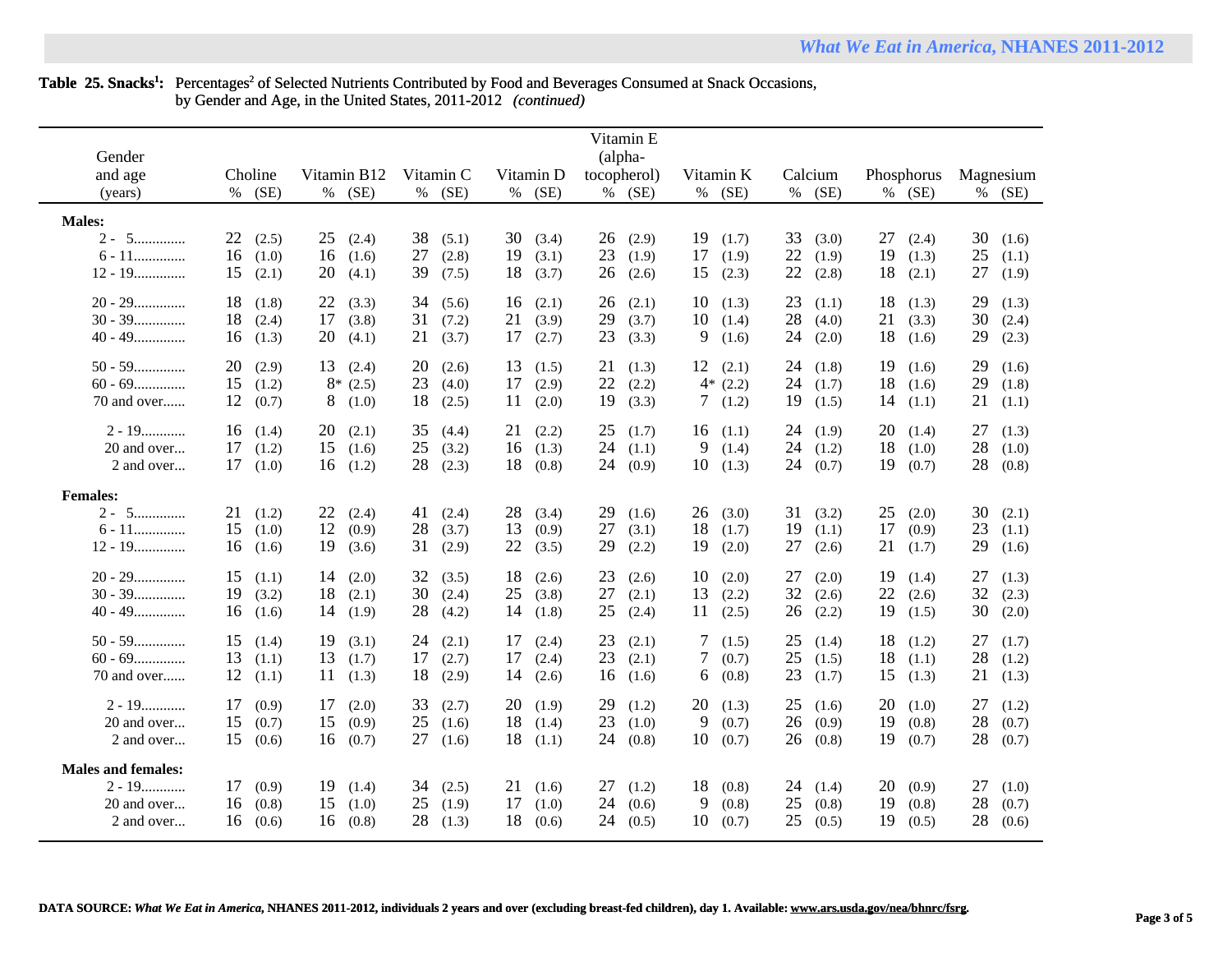|                           |             |             |             |             | Vitamin E   |                 |             |             |             |
|---------------------------|-------------|-------------|-------------|-------------|-------------|-----------------|-------------|-------------|-------------|
| Gender                    |             |             |             |             | (alpha-     |                 |             |             |             |
| and age                   | Choline     | Vitamin B12 | Vitamin C   | Vitamin D   | tocopherol) | Vitamin K       | Calcium     | Phosphorus  | Magnesium   |
|                           | (SE)        | % (SE)      | % (SE)      | (SE)<br>%   | % (SE)      | (SE)<br>%       | (SE)<br>%   | % (SE)      |             |
| (years)                   | %           |             |             |             |             |                 |             |             | $%$ (SE)    |
| <b>Males:</b>             |             |             |             |             |             |                 |             |             |             |
| $2 - 5$                   | 22          | 25          | 38          | 30          | 26          | 19              | 33          | 27          | 30          |
|                           | (2.5)       | (2.4)       | (5.1)       | (3.4)       | (2.9)       | (1.7)           | (3.0)       | (2.4)       | (1.6)       |
| $6 - 11$                  | 16          | 16          | 27          | 19          | 23          | 17              | 22          | 19          | 25          |
|                           | (1.0)       | (1.6)       | (2.8)       | (3.1)       | (1.9)       | (1.9)           | (1.9)       | (1.3)       | (1.1)       |
| $12 - 19$                 | 15          | 20          | 39          | 18          | 26          | 15              | 22          | 18          | 27          |
|                           | (2.1)       | (4.1)       | (7.5)       | (3.7)       | (2.6)       | (2.3)           | (2.8)       | (2.1)       | (1.9)       |
| $20 - 29$                 | 18          | 22          | 34          | 16          | 26          | 10              | 23          | 18          | 29          |
|                           | (1.8)       | (3.3)       | (5.6)       | (2.1)       | (2.1)       | (1.3)           | (1.1)       | (1.3)       | (1.3)       |
| $30 - 39$                 | 18          | 17          | 31          | 21          | 29          | 10              | 28          | 21          | 30          |
|                           | (2.4)       | (3.8)       | (7.2)       | (3.9)       | (3.7)       | (1.4)           | (4.0)       | (3.3)       | (2.4)       |
| $40 - 49$                 | 16          | 20          | 21          | 17          | 23          | 9               | 24          | 18          | 29          |
|                           | (1.3)       | (4.1)       | (3.7)       | (2.7)       | (3.3)       | (1.6)           | (2.0)       | (1.6)       | (2.3)       |
| $50 - 59$                 | 20          | 13          | 20          | 13          | 21          | 12              | 24          | 19          | 29          |
|                           | (2.9)       | (2.4)       | (2.6)       | (1.5)       | (1.3)       | (2.1)           | (1.8)       | (1.6)       | (1.6)       |
| $60 - 69$                 | 15<br>(1.2) | 8*<br>(2.5) | 23<br>(4.0) | 17<br>(2.9) | 22<br>(2.2) | $4*(2.2)$       | 24<br>(1.7) | 18<br>(1.6) | 29<br>(1.8) |
| 70 and over               | 12          | 8           | 18          | 11          | 19          | 7               | 19          | 14          | 21          |
|                           | (0.7)       | (1.0)       | (2.5)       | (2.0)       | (3.3)       | (1.2)           | (1.5)       | (1.1)       | (1.1)       |
| $2 - 19$                  | 16          | 20          | 35          | 21          | 25          | 16              | 24          | 20          | 27          |
|                           | (1.4)       | (2.1)       | (4.4)       | (2.2)       | (1.7)       | (1.1)           | (1.9)       | (1.4)       | (1.3)       |
| 20 and over               | 17          | 15          | 25          | 16          | 24          | 9               | 24          | 18          | 28          |
|                           | (1.2)       | (1.6)       | (3.2)       | (1.3)       | (1.1)       | (1.4)           | (1.2)       | (1.0)       | (1.0)       |
| 2 and over                | 17          | 16          | 28          | 18          | 24          | 10              | 24          | 19          | 28          |
|                           | (1.0)       | (1.2)       | (2.3)       | (0.8)       | (0.9)       | (1.3)           | (0.7)       | (0.7)       | (0.8)       |
| <b>Females:</b>           |             |             |             |             |             |                 |             |             |             |
| $2 - 5$                   | 21          | 22          | 41          | 28          | 29          | 26              | 31          | 25          | 30          |
|                           | (1.2)       | (2.4)       | (2.4)       | (3.4)       | (1.6)       | (3.0)           | (3.2)       | (2.0)       | (2.1)       |
| $6 - 11$                  | 15          | 12          | 28          | 13          | 27          | 18              | 19          | 17          | 23          |
|                           | (1.0)       | (0.9)       | (3.7)       | (0.9)       | (3.1)       | (1.7)           | (1.1)       | (0.9)       | (1.1)       |
| $12 - 19$                 | 16          | 19          | 31          | 22          | 29          | 19              | 27          | 21          | 29          |
|                           | (1.6)       | (3.6)       | (2.9)       | (3.5)       | (2.2)       | (2.0)           | (2.6)       | (1.7)       | (1.6)       |
| $20 - 29$                 | 15          | 14          | 32          | 18          | 23          | 10              | 27          | 19          | 27          |
|                           | (1.1)       | (2.0)       | (3.5)       | (2.6)       | (2.6)       | (2.0)           | (2.0)       | (1.4)       | (1.3)       |
| $30 - 39$                 | 19          | 18          | 30          | 25          | 27          | 13              | 32          | 22          | 32          |
|                           | (3.2)       | (2.1)       | (2.4)       | (3.8)       | (2.1)       | (2.2)           | (2.6)       | (2.6)       | (2.3)       |
| $40 - 49$                 | 16          | 14          | 28          | 14          | 25          | 11              | (2.2)       | 19          | 30          |
|                           | (1.6)       | (1.9)       | (4.2)       | (1.8)       | (2.4)       | (2.5)           | 26          | (1.5)       | (2.0)       |
| $50 - 59$                 | 15          | 19          | 24          | 17          | 23          | $7\phantom{.0}$ | 25          | 18          | 27          |
|                           | (1.4)       | (3.1)       | (2.1)       | (2.4)       | (2.1)       | (1.5)           | (1.4)       | (1.2)       | (1.7)       |
| $60 - 69$                 | 13          | 13          | (2.7)       | 17          | 23          | 7               | 25          | 18          | 28          |
|                           | (1.1)       | (1.7)       | 17          | (2.4)       | (2.1)       | (0.7)           | (1.5)       | (1.1)       | (1.2)       |
| 70 and over               | 12          | 11          | 18          | 14          | 16          | 6               | 23          | 15          | 21          |
|                           | (1.1)       | (1.3)       | (2.9)       | (2.6)       | (1.6)       | (0.8)           | (1.7)       | (1.3)       | (1.3)       |
| $2 - 19$                  | 17          | 17          | 33          | 20          | 29          | 20              | 25          | 20          | 27          |
|                           | (0.9)       | (2.0)       | (2.7)       | (1.9)       | (1.2)       | (1.3)           | (1.6)       | (1.0)       | (1.2)       |
| 20 and over               | 15          | 15          | 25          | 18          | 23          | 9               | 26          | 19          | 28          |
|                           | (0.7)       | (0.9)       | (1.6)       | (1.4)       | (1.0)       | (0.7)           | (0.9)       | (0.8)       | (0.7)       |
| 2 and over                | 15          | 16          | 27          | 18          | 24          | 10              | 26          | 19          | 28          |
|                           | (0.6)       | (0.7)       | (1.6)       | (1.1)       | (0.8)       | (0.7)           | (0.8)       | (0.7)       | (0.7)       |
| <b>Males and females:</b> |             |             |             |             |             |                 |             |             |             |
| $2 - 19$                  | 17          | 19          | 34          | 21          | 27          | 18              | 24          | 20          | 27          |
|                           | (0.9)       | (1.4)       | (2.5)       | (1.6)       | (1.2)       | (0.8)           | (1.4)       | (0.9)       | (1.0)       |
| 20 and over               | 16          | 15          | 25          | 17          | 24          | 9               | 25          | 19          | 28          |
|                           | (0.8)       | (1.0)       | (1.9)       | (1.0)       | (0.6)       | (0.8)           | (0.8)       | (0.8)       | (0.7)       |
| 2 and over                | 16          | 16          | 28          | 18          | 24          | 10              | 25          | 19          | 28          |
|                           | (0.6)       | (0.8)       | (1.3)       | (0.6)       | (0.5)       | (0.7)           | (0.5)       | (0.5)       | (0.6)       |

Table 25. Snacks<sup>1</sup>: Percentages<sup>2</sup> of Selected Nutrients Contributed by Food and Beverages Consumed at Snack Occasions, by Gender and Age, in the United States, 2011-2012 *(continued)*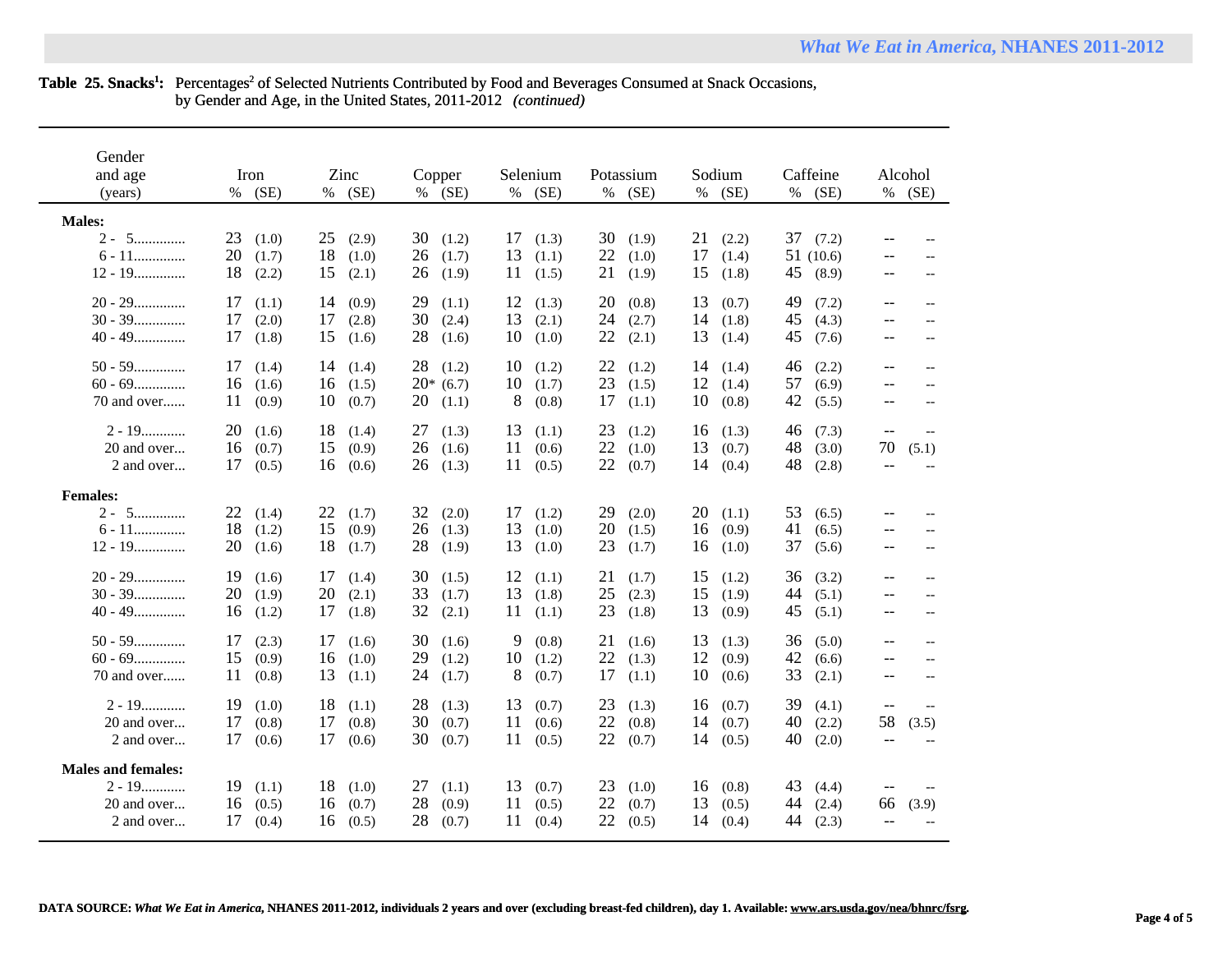## Table 25. Snacks<sup>1</sup>: Percentages<sup>2</sup> of Selected Nutrients Contributed by Food and Beverages Consumed at Snack Occasions, by Gender and Age, in the United States, 2011-2012 *(continued)*

| Gender<br>and age<br>(years)                                       | Iron<br>(SE)<br>%                         | Zinc<br>(SE)<br>$\%$                      | Copper<br>(SE)<br>%                       | Selenium<br>(SE)<br>%                     | Potassium<br>$\%$<br>(SE)                 | Sodium<br>(SE)<br>$\%$                    | Caffeine<br>$\%$<br>(SE)                  | Alcohol<br>%<br>(SE)                                                                                                           |
|--------------------------------------------------------------------|-------------------------------------------|-------------------------------------------|-------------------------------------------|-------------------------------------------|-------------------------------------------|-------------------------------------------|-------------------------------------------|--------------------------------------------------------------------------------------------------------------------------------|
| <b>Males:</b><br>$2 - 5$<br>$6 - 11$<br>$12 - 19$                  | 23<br>(1.0)<br>20<br>(1.7)<br>18<br>(2.2) | 25<br>(2.9)<br>18<br>(1.0)<br>15<br>(2.1) | 30<br>(1.2)<br>26<br>(1.7)<br>26<br>(1.9) | 17<br>(1.3)<br>13<br>(1.1)<br>11<br>(1.5) | 30<br>(1.9)<br>22<br>(1.0)<br>21<br>(1.9) | 21<br>(2.2)<br>17<br>(1.4)<br>15<br>(1.8) | 37<br>(7.2)<br>51(10.6)<br>45<br>(8.9)    | --<br>$\overline{a}$<br>$-$<br>$-$<br>$\overline{\phantom{m}}$<br>$\overline{\phantom{a}}$                                     |
| $20 - 29$<br>$30 - 39$<br>$40 - 49$                                | 17<br>(1.1)<br>17<br>(2.0)<br>17<br>(1.8) | 14<br>(0.9)<br>17<br>(2.8)<br>15<br>(1.6) | 29<br>(1.1)<br>30<br>(2.4)<br>28<br>(1.6) | 12<br>(1.3)<br>13<br>(2.1)<br>10<br>(1.0) | 20<br>(0.8)<br>24<br>(2.7)<br>22<br>(2.1) | 13<br>(0.7)<br>14<br>(1.8)<br>13<br>(1.4) | 49<br>(7.2)<br>45<br>(4.3)<br>45<br>(7.6) | $\overline{\phantom{a}}$<br>$\overline{\phantom{m}}$<br>$\overline{\phantom{a}}$<br>$\overline{\phantom{m}}$<br>$--$<br>$-\,-$ |
| $50 - 59$<br>$60 - 69$<br>70 and over                              | 17<br>(1.4)<br>16<br>(1.6)<br>11<br>(0.9) | 14<br>(1.4)<br>16<br>(1.5)<br>10<br>(0.7) | 28<br>(1.2)<br>$20*(6.7)$<br>20<br>(1.1)  | 10<br>(1.2)<br>10<br>(1.7)<br>8<br>(0.8)  | 22<br>(1.2)<br>23<br>(1.5)<br>17<br>(1.1) | 14<br>(1.4)<br>12<br>(1.4)<br>10<br>(0.8) | 46<br>(2.2)<br>57<br>(6.9)<br>42<br>(5.5) | $-\,-$<br>$\overline{\phantom{m}}$<br>$-$<br>$\overline{a}$<br>$-$<br>$\overline{\phantom{a}}$                                 |
| $2 - 19$<br>20 and over<br>2 and over                              | 20<br>(1.6)<br>16<br>(0.7)<br>17<br>(0.5) | 18<br>(1.4)<br>15<br>(0.9)<br>16<br>(0.6) | 27<br>(1.3)<br>26<br>(1.6)<br>26<br>(1.3) | 13<br>(1.1)<br>11<br>(0.6)<br>11<br>(0.5) | 23<br>(1.2)<br>22<br>(1.0)<br>22<br>(0.7) | 16<br>(1.3)<br>13<br>(0.7)<br>14<br>(0.4) | 46<br>(7.3)<br>48<br>(3.0)<br>48<br>(2.8) | $-$<br>$\hspace{0.05cm} -\hspace{0.05cm} -\hspace{0.05cm}$<br>70<br>(5.1)<br>$-$<br>$\overline{\phantom{a}}$                   |
| <b>Females:</b><br>$2 - 5$<br>$6 - 11$<br>$12 - 19$                | 22<br>(1.4)<br>18<br>(1.2)<br>20<br>(1.6) | 22<br>(1.7)<br>15<br>(0.9)<br>18<br>(1.7) | 32<br>(2.0)<br>26<br>(1.3)<br>28<br>(1.9) | 17<br>(1.2)<br>13<br>(1.0)<br>13<br>(1.0) | 29<br>(2.0)<br>20<br>(1.5)<br>23<br>(1.7) | 20<br>(1.1)<br>16<br>(0.9)<br>16<br>(1.0) | 53<br>(6.5)<br>41<br>(6.5)<br>37<br>(5.6) | $-$<br>$-\,-$<br>$-\, -$<br>$\overline{\phantom{m}}$<br>$\hspace{0.05cm} -\hspace{0.05cm} -\hspace{0.05cm}$                    |
| $20 - 29$<br>$30 - 39$<br>$40 - 49$                                | 19<br>(1.6)<br>20<br>(1.9)<br>16<br>(1.2) | 17<br>(1.4)<br>20<br>(2.1)<br>17<br>(1.8) | 30<br>(1.5)<br>33<br>(1.7)<br>32<br>(2.1) | 12<br>(1.1)<br>13<br>(1.8)<br>11<br>(1.1) | 21<br>(1.7)<br>25<br>(2.3)<br>23<br>(1.8) | 15<br>(1.2)<br>15<br>(1.9)<br>13<br>(0.9) | 36<br>(3.2)<br>44<br>(5.1)<br>45<br>(5.1) | $- -$<br>$-\, -$<br>$\overline{\phantom{m}}$<br>$\qquad \qquad -$<br>--<br>$-$                                                 |
| $50 - 59$<br>$60 - 69$<br>70 and over                              | 17<br>(2.3)<br>15<br>(0.9)<br>11<br>(0.8) | 17<br>(1.6)<br>16<br>(1.0)<br>13<br>(1.1) | 30<br>(1.6)<br>29<br>(1.2)<br>24<br>(1.7) | 9<br>(0.8)<br>10<br>(1.2)<br>8<br>(0.7)   | 21<br>(1.6)<br>22<br>(1.3)<br>17<br>(1.1) | 13<br>(1.3)<br>12<br>(0.9)<br>10<br>(0.6) | 36<br>(5.0)<br>42<br>(6.6)<br>33<br>(2.1) | $\qquad \qquad -$<br>$-$<br>$--$<br>$-$<br>$-$<br>$-$                                                                          |
| $2 - 19$<br>20 and over<br>2 and over                              | 19<br>(1.0)<br>17<br>(0.8)<br>17<br>(0.6) | 18<br>(1.1)<br>17<br>(0.8)<br>17<br>(0.6) | 28<br>(1.3)<br>30<br>(0.7)<br>30<br>(0.7) | 13<br>(0.7)<br>11<br>(0.6)<br>11<br>(0.5) | 23<br>(1.3)<br>22<br>(0.8)<br>22<br>(0.7) | 16<br>(0.7)<br>14<br>(0.7)<br>14<br>(0.5) | 39<br>(4.1)<br>40<br>(2.2)<br>40<br>(2.0) | $-$<br>$-$<br>58<br>(3.5)                                                                                                      |
| <b>Males and females:</b><br>$2 - 19$<br>20 and over<br>2 and over | 19<br>(1.1)<br>16<br>(0.5)<br>17<br>(0.4) | 18<br>(1.0)<br>(0.7)<br>16<br>16<br>(0.5) | 27<br>(1.1)<br>28<br>(0.9)<br>28<br>(0.7) | 13<br>(0.7)<br>11<br>(0.5)<br>11<br>(0.4) | 23<br>(1.0)<br>22<br>(0.7)<br>22<br>(0.5) | (0.8)<br>16<br>13<br>(0.5)<br>14<br>(0.4) | 43<br>(4.4)<br>44<br>(2.4)<br>44<br>(2.3) | (3.9)<br>66<br>$\overline{\phantom{m}}$                                                                                        |